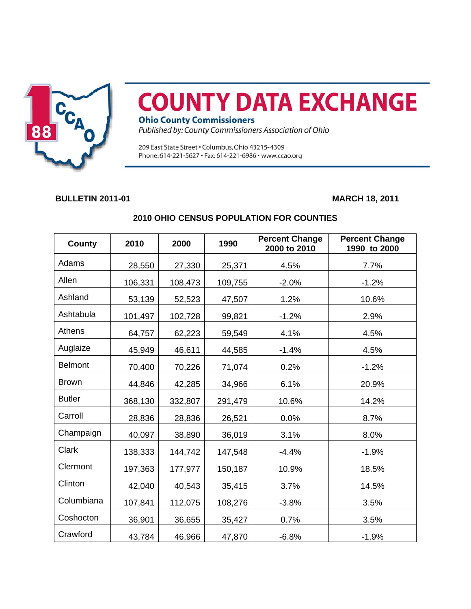

## **COUNTY DATA EXCHANGE**

**Ohio County Commissioners** 

Published by: County Commissioners Association of Ohio

209 East State Street . Columbus, Ohio 43215-4309 Phone: 614-221-5627 · Fax: 614-221-6986 · www.ccao.org

## **BULLETIN 2011-01** MARCH 18, 2011

| County         | 2010    | 2000    | 1990    | <b>Percent Change</b><br>2000 to 2010 | <b>Percent Change</b><br>1990 to 2000 |
|----------------|---------|---------|---------|---------------------------------------|---------------------------------------|
| Adams          | 28,550  | 27,330  | 25,371  | 4.5%                                  | 7.7%                                  |
| Allen          | 106,331 | 108,473 | 109,755 | $-2.0%$                               | $-1.2%$                               |
| Ashland        | 53,139  | 52,523  | 47,507  | 1.2%                                  | 10.6%                                 |
| Ashtabula      | 101,497 | 102,728 | 99,821  | $-1.2%$                               | 2.9%                                  |
| Athens         | 64,757  | 62,223  | 59,549  | 4.1%                                  | 4.5%                                  |
| Auglaize       | 45,949  | 46,611  | 44,585  | $-1.4%$                               | 4.5%                                  |
| <b>Belmont</b> | 70,400  | 70,226  | 71,074  | 0.2%                                  | $-1.2%$                               |
| <b>Brown</b>   | 44,846  | 42,285  | 34,966  | 6.1%                                  | 20.9%                                 |
| <b>Butler</b>  | 368,130 | 332,807 | 291,479 | 10.6%                                 | 14.2%                                 |
| Carroll        | 28,836  | 28,836  | 26,521  | 0.0%                                  | 8.7%                                  |
| Champaign      | 40,097  | 38,890  | 36,019  | 3.1%                                  | 8.0%                                  |
| Clark          | 138,333 | 144,742 | 147,548 | $-4.4%$                               | $-1.9%$                               |
| Clermont       | 197,363 | 177,977 | 150,187 | 10.9%                                 | 18.5%                                 |
| Clinton        | 42,040  | 40,543  | 35,415  | 3.7%                                  | 14.5%                                 |
| Columbiana     | 107,841 | 112,075 | 108,276 | $-3.8%$                               | 3.5%                                  |
| Coshocton      | 36,901  | 36,655  | 35,427  | 0.7%                                  | 3.5%                                  |
| Crawford       | 43,784  | 46,966  | 47,870  | $-6.8%$                               | $-1.9%$                               |

## **2010 OHIO CENSUS POPULATION FOR COUNTIES**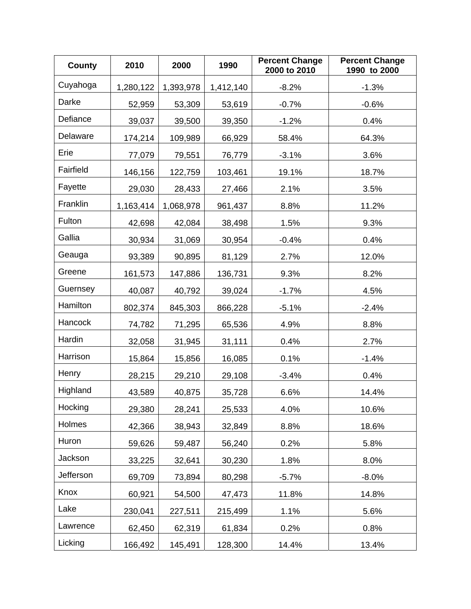| <b>County</b>  | 2010      | 2000      | 1990      | <b>Percent Change</b><br>2000 to 2010 | <b>Percent Change</b><br>1990 to 2000 |
|----------------|-----------|-----------|-----------|---------------------------------------|---------------------------------------|
| Cuyahoga       | 1,280,122 | 1,393,978 | 1,412,140 | $-8.2%$                               | $-1.3%$                               |
| Darke          | 52,959    | 53,309    | 53,619    | $-0.7%$                               | $-0.6%$                               |
| Defiance       | 39,037    | 39,500    | 39,350    | $-1.2%$                               | 0.4%                                  |
| Delaware       | 174,214   | 109,989   | 66,929    | 58.4%                                 | 64.3%                                 |
| Erie           | 77,079    | 79,551    | 76,779    | $-3.1%$                               | 3.6%                                  |
| Fairfield      | 146,156   | 122,759   | 103,461   | 19.1%                                 | 18.7%                                 |
| Fayette        | 29,030    | 28,433    | 27,466    | 2.1%                                  | 3.5%                                  |
| Franklin       | 1,163,414 | 1,068,978 | 961,437   | 8.8%                                  | 11.2%                                 |
| Fulton         | 42,698    | 42,084    | 38,498    | 1.5%                                  | 9.3%                                  |
| Gallia         | 30,934    | 31,069    | 30,954    | $-0.4%$                               | 0.4%                                  |
| Geauga         | 93,389    | 90,895    | 81,129    | 2.7%                                  | 12.0%                                 |
| Greene         | 161,573   | 147,886   | 136,731   | 9.3%                                  | 8.2%                                  |
| Guernsey       | 40,087    | 40,792    | 39,024    | $-1.7%$                               | 4.5%                                  |
| Hamilton       | 802,374   | 845,303   | 866,228   | $-5.1%$                               | $-2.4%$                               |
| <b>Hancock</b> | 74,782    | 71,295    | 65,536    | 4.9%                                  | 8.8%                                  |
| Hardin         | 32,058    | 31,945    | 31,111    | 0.4%                                  | 2.7%                                  |
| Harrison       | 15,864    | 15,856    | 16,085    | 0.1%                                  | $-1.4%$                               |
| Henry          | 28,215    | 29,210    | 29,108    | $-3.4%$                               | 0.4%                                  |
| Highland       | 43,589    | 40,875    | 35,728    | 6.6%                                  | 14.4%                                 |
| Hocking        | 29,380    | 28,241    | 25,533    | 4.0%                                  | 10.6%                                 |
| Holmes         | 42,366    | 38,943    | 32,849    | 8.8%                                  | 18.6%                                 |
| Huron          | 59,626    | 59,487    | 56,240    | 0.2%                                  | 5.8%                                  |
| Jackson        | 33,225    | 32,641    | 30,230    | 1.8%                                  | 8.0%                                  |
| Jefferson      | 69,709    | 73,894    | 80,298    | $-5.7%$                               | $-8.0%$                               |
| Knox           | 60,921    | 54,500    | 47,473    | 11.8%                                 | 14.8%                                 |
| Lake           | 230,041   | 227,511   | 215,499   | 1.1%                                  | 5.6%                                  |
| Lawrence       | 62,450    | 62,319    | 61,834    | 0.2%                                  | 0.8%                                  |
| Licking        | 166,492   | 145,491   | 128,300   | 14.4%                                 | 13.4%                                 |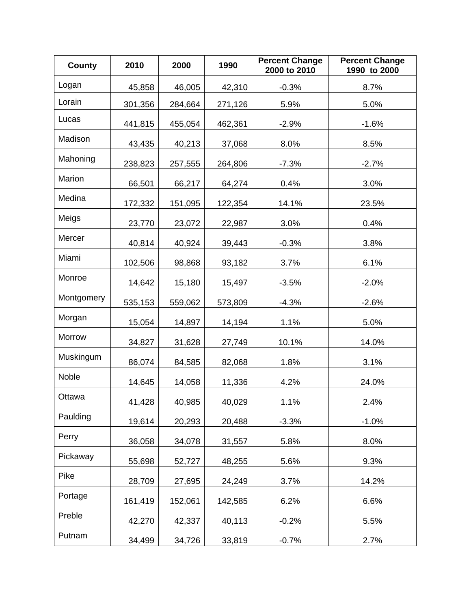| <b>County</b> | 2010    | 2000    | 1990    | <b>Percent Change</b><br>2000 to 2010 | <b>Percent Change</b><br>1990 to 2000 |
|---------------|---------|---------|---------|---------------------------------------|---------------------------------------|
| Logan         | 45,858  | 46,005  | 42,310  | $-0.3%$                               | 8.7%                                  |
| Lorain        | 301,356 | 284,664 | 271,126 | 5.9%                                  | 5.0%                                  |
| Lucas         | 441,815 | 455,054 | 462,361 | $-2.9%$                               | $-1.6%$                               |
| Madison       | 43,435  | 40,213  | 37,068  | 8.0%                                  | 8.5%                                  |
| Mahoning      | 238,823 | 257,555 | 264,806 | $-7.3%$                               | $-2.7%$                               |
| Marion        | 66,501  | 66,217  | 64,274  | 0.4%                                  | 3.0%                                  |
| Medina        | 172,332 | 151,095 | 122,354 | 14.1%                                 | 23.5%                                 |
| Meigs         | 23,770  | 23,072  | 22,987  | 3.0%                                  | 0.4%                                  |
| Mercer        | 40,814  | 40,924  | 39,443  | $-0.3%$                               | 3.8%                                  |
| Miami         | 102,506 | 98,868  | 93,182  | 3.7%                                  | 6.1%                                  |
| Monroe        | 14,642  | 15,180  | 15,497  | $-3.5%$                               | $-2.0%$                               |
| Montgomery    | 535,153 | 559,062 | 573,809 | $-4.3%$                               | $-2.6%$                               |
| Morgan        | 15,054  | 14,897  | 14,194  | 1.1%                                  | 5.0%                                  |
| Morrow        | 34,827  | 31,628  | 27,749  | 10.1%                                 | 14.0%                                 |
| Muskingum     | 86,074  | 84,585  | 82,068  | 1.8%                                  | 3.1%                                  |
| Noble         | 14,645  | 14,058  | 11,336  | 4.2%                                  | 24.0%                                 |
| Ottawa        | 41,428  | 40,985  | 40,029  | 1.1%                                  | 2.4%                                  |
| Paulding      | 19,614  | 20,293  | 20,488  | $-3.3%$                               | $-1.0%$                               |
| Perry         | 36,058  | 34,078  | 31,557  | 5.8%                                  | 8.0%                                  |
| Pickaway      | 55,698  | 52,727  | 48,255  | 5.6%                                  | 9.3%                                  |
| Pike          | 28,709  | 27,695  | 24,249  | 3.7%                                  | 14.2%                                 |
| Portage       | 161,419 | 152,061 | 142,585 | 6.2%                                  | 6.6%                                  |
| Preble        | 42,270  | 42,337  | 40,113  | $-0.2%$                               | 5.5%                                  |
| Putnam        | 34,499  | 34,726  | 33,819  | $-0.7%$                               | 2.7%                                  |